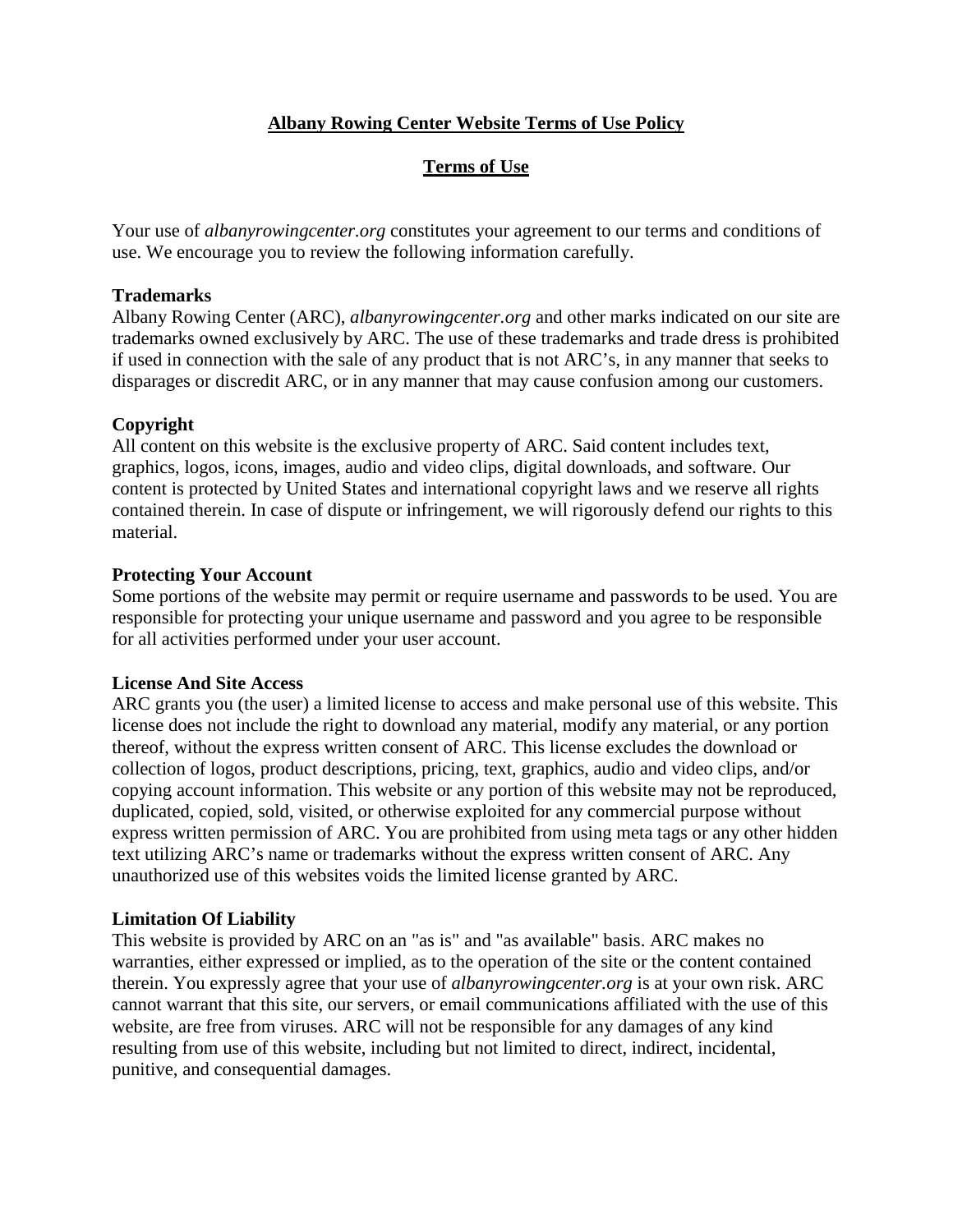# **Albany Rowing Center Website Terms of Use Policy**

# **Terms of Use**

Your use of *albanyrowingcenter.org* constitutes your agreement to our terms and conditions of use. We encourage you to review the following information carefully.

## **Trademarks**

Albany Rowing Center (ARC), *albanyrowingcenter.org* and other marks indicated on our site are trademarks owned exclusively by ARC. The use of these trademarks and trade dress is prohibited if used in connection with the sale of any product that is not ARC's, in any manner that seeks to disparages or discredit ARC, or in any manner that may cause confusion among our customers.

# **Copyright**

All content on this website is the exclusive property of ARC. Said content includes text, graphics, logos, icons, images, audio and video clips, digital downloads, and software. Our content is protected by United States and international copyright laws and we reserve all rights contained therein. In case of dispute or infringement, we will rigorously defend our rights to this material.

## **Protecting Your Account**

Some portions of the website may permit or require username and passwords to be used. You are responsible for protecting your unique username and password and you agree to be responsible for all activities performed under your user account.

#### **License And Site Access**

ARC grants you (the user) a limited license to access and make personal use of this website. This license does not include the right to download any material, modify any material, or any portion thereof, without the express written consent of ARC. This license excludes the download or collection of logos, product descriptions, pricing, text, graphics, audio and video clips, and/or copying account information. This website or any portion of this website may not be reproduced, duplicated, copied, sold, visited, or otherwise exploited for any commercial purpose without express written permission of ARC. You are prohibited from using meta tags or any other hidden text utilizing ARC's name or trademarks without the express written consent of ARC. Any unauthorized use of this websites voids the limited license granted by ARC.

# **Limitation Of Liability**

This website is provided by ARC on an "as is" and "as available" basis. ARC makes no warranties, either expressed or implied, as to the operation of the site or the content contained therein. You expressly agree that your use of *albanyrowingcenter.org* is at your own risk. ARC cannot warrant that this site, our servers, or email communications affiliated with the use of this website, are free from viruses. ARC will not be responsible for any damages of any kind resulting from use of this website, including but not limited to direct, indirect, incidental, punitive, and consequential damages.